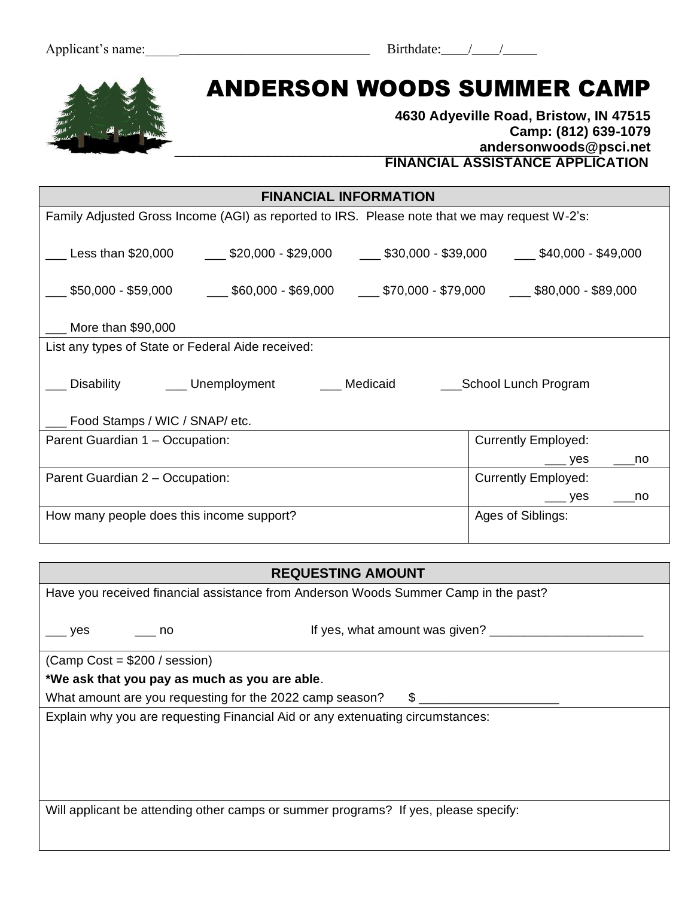| Birthdate: |  |  |
|------------|--|--|
|------------|--|--|

# **MAIL APPLICATION TO:**  ANDERSON WOODS SUMMER CAMP

#### \_\_\_\_\_\_\_\_\_\_\_\_\_\_\_\_\_\_\_\_\_\_\_\_\_\_\_\_\_\_\_\_\_\_\_\_\_\_\_\_\_\_\_\_\_\_\_\_\_\_\_\_\_\_\_\_\_\_\_\_\_\_\_\_\_\_\_\_ **4630 Adyeville Road, Bristow, IN 47515 Camp: (812) 639-1079 andersonwoods@psci.net FINANCIAL ASSISTANCE APPLICATION**

| Family Adjusted Gross Income (AGI) as reported to IRS. Please note that we may request W-2's:       |
|-----------------------------------------------------------------------------------------------------|
| __ Less than \$20,000   ___ \$20,000 - \$29,000   ___ \$30,000 - \$39,000   ___ \$40,000 - \$49,000 |
| ___ \$50,000 - \$59,000   ___ \$60,000 - \$69,000  ___ \$70,000 - \$79,000  ___ \$80,000 - \$89,000 |
|                                                                                                     |
|                                                                                                     |
| ___ Disability    ___ Unemployment    ___ Medicaid    ___School Lunch Program                       |
|                                                                                                     |
| <b>Currently Employed:</b>                                                                          |
| yes<br>no                                                                                           |
| <b>Currently Employed:</b>                                                                          |
| <sub>——</sub> yes<br>no no                                                                          |
| Ages of Siblings:                                                                                   |
|                                                                                                     |

| <b>REQUESTING AMOUNT</b>                                                                  |  |  |
|-------------------------------------------------------------------------------------------|--|--|
| Have you received financial assistance from Anderson Woods Summer Camp in the past?       |  |  |
|                                                                                           |  |  |
| If yes, what amount was given?<br><b>ves</b><br>no                                        |  |  |
| $(Camp Cost = $200 / session)$                                                            |  |  |
| *We ask that you pay as much as you are able.                                             |  |  |
| What amount are you requesting for the 2022 camp season?<br>$\mathbb{S}$ and $\mathbb{S}$ |  |  |
| Explain why you are requesting Financial Aid or any extenuating circumstances:            |  |  |
|                                                                                           |  |  |
|                                                                                           |  |  |
|                                                                                           |  |  |
|                                                                                           |  |  |
| Will applicant be attending other camps or summer programs? If yes, please specify:       |  |  |
|                                                                                           |  |  |
|                                                                                           |  |  |